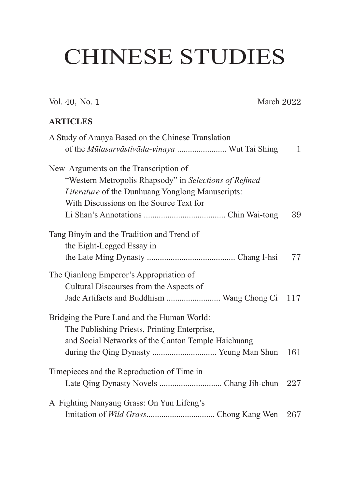## CHINESE STUDIES

Vol. 40, No. 1 March 2022

## **ARTICLES**

| A Study of Aranya Based on the Chinese Translation     |              |
|--------------------------------------------------------|--------------|
| of the Mūlasarvāstivāda-vinaya  Wut Tai Shing          | $\mathbf{1}$ |
| New Arguments on the Transcription of                  |              |
| "Western Metropolis Rhapsody" in Selections of Refined |              |
| Literature of the Dunhuang Yonglong Manuscripts:       |              |
| With Discussions on the Source Text for                |              |
|                                                        | 39           |
| Tang Binyin and the Tradition and Trend of             |              |
| the Eight-Legged Essay in                              |              |
|                                                        | 77           |
| The Qianlong Emperor's Appropriation of                |              |
| Cultural Discourses from the Aspects of                |              |
| Jade Artifacts and Buddhism  Wang Chong Ci 117         |              |
| Bridging the Pure Land and the Human World:            |              |
| The Publishing Priests, Printing Enterprise,           |              |
| and Social Networks of the Canton Temple Haichuang     |              |
|                                                        | 161          |
| Timepieces and the Reproduction of Time in             |              |
|                                                        |              |
| A Fighting Nanyang Grass: On Yun Lifeng's              |              |
|                                                        |              |